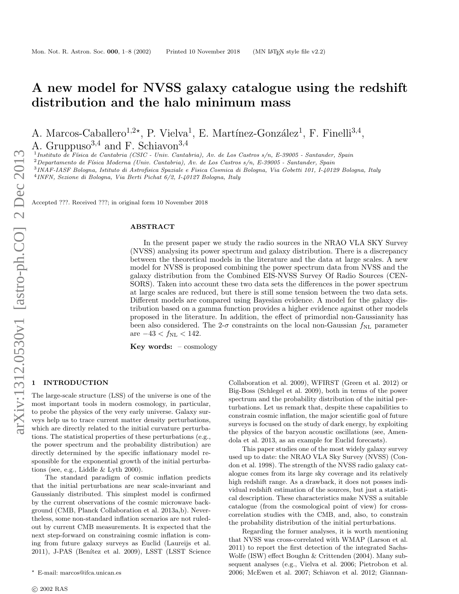# A new model for NVSS galaxy catalogue using the redshift distribution and the halo minimum mass

A. Marcos-Caballero<sup>1,2\*</sup>, P. Vielva<sup>1</sup>, E. Martínez-González<sup>1</sup>, F. Finelli<sup>3,4</sup>,

A. Gruppuso<sup>3,4</sup> and F. Schiavon<sup>3,4</sup>

<sup>1</sup> Instituto de Física de Cantabria (CSIC - Univ. Cantabria), Av. de Los Castros s/n, E-39005 - Santander, Spain

 $2$ Departamento de Física Moderna (Univ. Cantabria), Av. de Los Castros s/n, E-39005 - Santander, Spain

3 INAF-IASF Bologna, Istituto di Astrofisica Spaziale e Fisica Cosmica di Bologna, Via Gobetti 101, I-40129 Bologna, Italy

4 INFN, Sezione di Bologna, Via Berti Pichat 6/2, I-40127 Bologna, Italy

Accepted ???. Received ???; in original form 10 November 2018

# ABSTRACT

In the present paper we study the radio sources in the NRAO VLA SKY Survey (NVSS) analysing its power spectrum and galaxy distribution. There is a discrepancy between the theoretical models in the literature and the data at large scales. A new model for NVSS is proposed combining the power spectrum data from NVSS and the galaxy distribution from the Combined EIS-NVSS Survey Of Radio Sources (CEN-SORS). Taken into account these two data sets the differences in the power spectrum at large scales are reduced, but there is still some tension between the two data sets. Different models are compared using Bayesian evidence. A model for the galaxy distribution based on a gamma function provides a higher evidence against other models proposed in the literature. In addition, the effect of primordial non-Gaussianity has been also considered. The 2- $\sigma$  constraints on the local non-Gaussian  $f_{\rm NL}$  parameter are  $-43 < f_{\rm NL} < 142$ .

Key words:  $-\text{cosmology}$ 

# **INTRODUCTION**

The large-scale structure (LSS) of the universe is one of the most important tools in modern cosmology, in particular, to probe the physics of the very early universe. Galaxy surveys help us to trace current matter density perturbations, which are directly related to the initial curvature perturbations. The statistical properties of these perturbations (e.g., the power spectrum and the probability distribution) are directly determined by the specific inflationary model responsible for the exponential growth of the initial perturbations (see, e.g., Liddle & Lyth 2000).

The standard paradigm of cosmic inflation predicts that the initial perturbations are near scale-invariant and Gaussianly distributed. This simplest model is confirmed by the current observations of the cosmic microwave background (CMB, Planck Collaboration et al. 2013a,b). Nevertheless, some non-standard inflation scenarios are not ruledout by current CMB measurements. It is expected that the next step-forward on constraining cosmic inflation is coming from future galaxy surveys as Euclid (Laureijs et al. 2011), J-PAS (Benítez et al. 2009), LSST (LSST Science

Collaboration et al. 2009), WFIRST (Green et al. 2012) or Big-Boss (Schlegel et al. 2009), both in terms of the power spectrum and the probability distribution of the initial perturbations. Let us remark that, despite these capabilities to constrain cosmic inflation, the major scientific goal of future surveys is focused on the study of dark energy, by exploiting the physics of the baryon acoustic oscillations (see, Amendola et al. 2013, as an example for Euclid forecasts).

This paper studies one of the most widely galaxy survey used up to date: the NRAO VLA Sky Survey (NVSS) (Condon et al. 1998). The strength of the NVSS radio galaxy catalogue comes from its large sky coverage and its relatively high redshift range. As a drawback, it does not posses individual redshift estimation of the sources, but just a statistical description. These characteristics make NVSS a suitable catalogue (from the cosmological point of view) for crosscorrelation studies with the CMB, and, also, to constrain the probability distribution of the initial perturbations.

Regarding the former analyses, it is worth mentioning that NVSS was cross-correlated with WMAP (Larson et al. 2011) to report the first detection of the integrated Sachs-Wolfe (ISW) effect Boughn & Crittenden (2004). Many subsequent analyses (e.g., Vielva et al. 2006; Pietrobon et al. 2006; McEwen et al. 2007; Schiavon et al. 2012; Giannan-

<sup>?</sup> E-mail: marcos@ifca.unican.es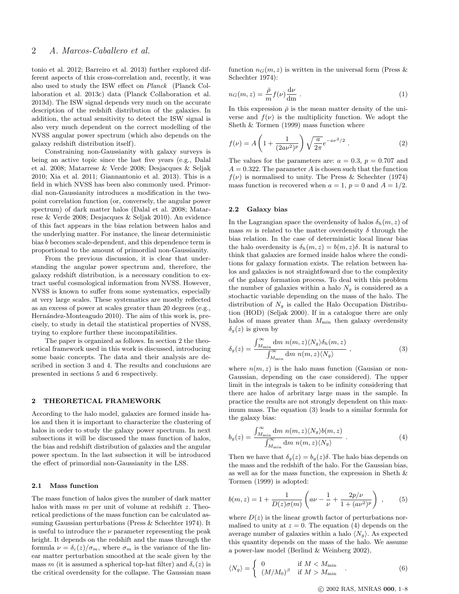tonio et al. 2012; Barreiro et al. 2013) further explored different aspects of this cross-correlation and, recently, it was also used to study the ISW effect on Planck (Planck Collaboration et al. 2013c) data (Planck Collaboration et al. 2013d). The ISW signal depends very much on the accurate description of the redshift distribution of the galaxies. In addition, the actual sensitivity to detect the ISW signal is also very much dependent on the correct modelling of the NVSS angular power spectrum (which also depends on the galaxy redshift distribution itself).

Constraining non-Gaussianity with galaxy surveys is being an active topic since the last five years (e.g., Dalal et al. 2008; Matarrese & Verde 2008; Desjacques & Seljak 2010; Xia et al. 2011; Giannantonio et al. 2013). This is a field in which NVSS has been also commonly used. Primordial non-Gaussianity introduces a modification in the twopoint correlation function (or, conversely, the angular power spectrum) of dark matter halos (Dalal et al. 2008; Matarrese & Verde 2008; Desjacques & Seljak 2010). An evidence of this fact appears in the bias relation between halos and the underlying matter. For instance, the linear deterministic bias b becomes scale-dependent, and this dependence term is proportional to the amount of primordial non-Gaussianity.

From the previous discussion, it is clear that understanding the angular power spectrum and, therefore, the galaxy redshift distribution, is a necessary condition to extract useful cosmological information from NVSS. However, NVSS is known to suffer from some systematics, especially at very large scales. These systematics are mostly reflected as an excess of power at scales greater than 20 degrees (e.g., Hernández-Monteagudo 2010). The aim of this work is, precisely, to study in detail the statistical properties of NVSS, trying to explore further these incompatibilities.

The paper is organized as follows. In section 2 the theoretical framework used in this work is discussed, introducing some basic concepts. The data and their analysis are described in section 3 and 4. The results and conclusions are presented in sections 5 and 6 respectively.

## 2 THEORETICAL FRAMEWORK

According to the halo model, galaxies are formed inside halos and then it is important to characterize the clustering of halos in order to study the galaxy power spectrum. In next subsections it will be discussed the mass function of halos, the bias and redshift distribution of galaxies and the angular power spectum. In the last subsection it will be introduced the effect of primordial non-Gaussianity in the LSS.

## 2.1 Mass function

The mass function of halos gives the number of dark matter halos with mass  $m$  per unit of volume at redshift  $z$ . Theoretical predictions of the mass function can be calculated assuming Gaussian perturbations (Press & Schechter 1974). It is useful to introduce the  $\nu$  parameter representing the peak height. It depends on the redshift and the mass through the formula  $\nu = \delta_c(z)/\sigma_m$ , where  $\sigma_m$  is the variance of the linear matter perturbation smoothed at the scale given by the mass m (it is assumed a spherical top-hat filter) and  $\delta_c(z)$  is the critical overdensity for the collapse. The Gaussian mass

function  $n_G(m, z)$  is written in the universal form (Press & Schechter 1974):

$$
n_G(m, z) = \frac{\bar{\rho}}{m} f(\nu) \frac{d\nu}{dm} . \tag{1}
$$

In this expression  $\bar{\rho}$  is the mean matter density of the universe and  $f(\nu)$  is the multiplicity function. We adopt the Sheth & Tormen (1999) mass function where

$$
f(\nu) = A \left( 1 + \frac{1}{(2a\nu^2)^p} \right) \sqrt{\frac{a}{2\pi}} e^{-a\nu^2/2} . \tag{2}
$$

The values for the parameters are:  $a = 0.3$ ,  $p = 0.707$  and  $A = 0.322$ . The parameter A is chosen such that the function  $f(\nu)$  is normalised to unity. The Press & Schechter (1974) mass function is recovered when  $a = 1$ ,  $p = 0$  and  $A = 1/2$ .

## 2.2 Galaxy bias

In the Lagrangian space the overdensity of halos  $\delta_h(m, z)$  of mass m is related to the matter overdensity  $\delta$  through the bias relation. In the case of deterministic local linear bias the halo overdensity is  $\delta_h(m, z) = b(m, z)\delta$ . It is natural to think that galaxies are formed inside halos where the conditions for galaxy formation exists. The relation between halos and galaxies is not straightfoward due to the complexity of the galaxy formation process. To deal with this problem the number of galaxies within a halo  $N_g$  is considered as a stochactic variable depending on the mass of the halo. The distribution of  $N_g$  is called the Halo Occupation Distribution (HOD) (Seljak 2000). If in a catalogue there are only halos of mass greater than  $M_{\text{min}}$  then galaxy overdensity  $\delta_q(z)$  is given by

$$
\delta_g(z) = \frac{\int_{M_{\min}}^{\infty} dm \; n(m, z) \langle N_g \rangle \delta_h(m, z)}{\int_{M_{\min}}^{\infty} dm \; n(m, z) \langle N_g \rangle} , \qquad (3)
$$

where  $n(m, z)$  is the halo mass function (Gausian or non-Gaussian, depending on the case considered). The upper limit in the integrals is taken to be infinity considering that there are halos of arbritary large mass in the sample. In practice the results are not strongly dependent on this maximum mass. The equation (3) leads to a similar formula for the galaxy bias:

$$
b_g(z) = \frac{\int_{M_{\min}}^{\infty} dm \; n(m, z) \langle N_g \rangle b(m, z)}{\int_{M_{\min}}^{\infty} dm \; n(m, z) \langle N_g \rangle} \; . \tag{4}
$$

Then we have that  $\delta_q(z) = b_q(z) \delta$ . The halo bias depends on the mass and the redshift of the halo. For the Gaussian bias, as well as for the mass function, the expression in Sheth & Tormen (1999) is adopted:

$$
b(m, z) = 1 + \frac{1}{D(z)\sigma(m)} \left( a\nu - \frac{1}{\nu} + \frac{2p/\nu}{1 + (a\nu^2)^p} \right) , \qquad (5)
$$

where  $D(z)$  is the linear growth factor of perturbations normalised to unity at  $z = 0$ . The equation (4) depends on the average number of galaxies within a halo  $\langle N_q \rangle$ . As expected this quantity depends on the mass of the halo. We assume a power-law model (Berlind & Weinberg 2002),

$$
\langle N_g \rangle = \begin{cases} 0 & \text{if } M < M_{\text{min}} \\ (M/M_0)^\beta & \text{if } M > M_{\text{min}} \end{cases} . \tag{6}
$$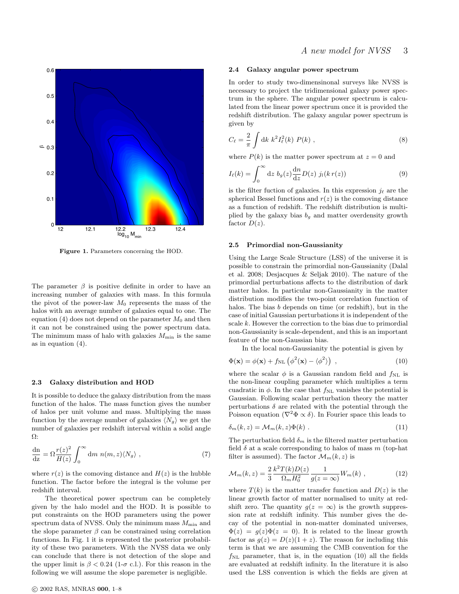

Figure 1. Parameters concerning the HOD.

The parameter  $\beta$  is positive definite in order to have an increasing number of galaxies with mass. In this formula the pivot of the power-law  $M_0$  represents the mass of the halos with an average number of galaxies equal to one. The equation  $(4)$  does not depend on the parameter  $M_0$  and then it can not be constrained using the power spectrum data. The minimum mass of halo with galaxies  $M_{\text{min}}$  is the same as in equation (4).

# 2.3 Galaxy distribution and HOD

It is possible to deduce the galaxy distribution from the mass function of the halos. The mass function gives the number of halos per unit volume and mass. Multiplying the mass function by the average number of galaxies  $\langle N_g \rangle$  we get the number of galaxies per redshift interval within a solid angle Ω:

$$
\frac{\mathrm{dn}}{\mathrm{dz}} = \Omega \frac{r(z)^2}{H(z)} \int_0^\infty \mathrm{d}m \ n(m, z) \langle N_g \rangle , \qquad (7)
$$

where  $r(z)$  is the comoving distance and  $H(z)$  is the hubble function. The factor before the integral is the volume per redshift interval.

The theoretical power spectrum can be completely given by the halo model and the HOD. It is possible to put constraints on the HOD parameters using the power spectrum data of NVSS. Only the minimum mass  $M_{\rm min}$  and the slope parameter  $\beta$  can be constrained using correlation functions. In Fig. 1 it is represented the posterior probability of these two parameters. With the NVSS data we only can conclude that there is not detection of the slope and the upper limit is  $\beta$  < 0.24 (1- $\sigma$  c.l.). For this reason in the following we will assume the slope paremeter is negligible.

#### 2.4 Galaxy angular power spectrum

In order to study two-dimensinonal surveys like NVSS is necessary to project the tridimensional galaxy power spectrum in the sphere. The angular power spectrum is calculated from the linear power spectrum once it is provided the redshift distribution. The galaxy angular power spectrum is given by

$$
C_{\ell} = \frac{2}{\pi} \int \mathrm{d}k \ k^{2} I_{\ell}^{2}(k) \ P(k) \ , \tag{8}
$$

where  $P(k)$  is the matter power spectrum at  $z = 0$  and

$$
I_{\ell}(k) = \int_0^\infty dz \ b_g(z) \frac{dn}{dz} D(z) \ j_l(k \, r(z)) \tag{9}
$$

is the filter fuction of galaxies. In this expression  $j_{\ell}$  are the spherical Bessel functions and  $r(z)$  is the comoving distance as a function of redshift. The redshift distribution is multiplied by the galaxy bias  $b<sub>g</sub>$  and matter overdensity growth factor  $D(z)$ .

#### 2.5 Primordial non-Gaussianity

Using the Large Scale Structure (LSS) of the universe it is possible to constrain the primordial non-Gaussianity (Dalal et al. 2008; Desjacques & Seljak 2010). The nature of the primordial perturbations affects to the distribution of dark matter halos. In particular non-Gaussianity in the matter distribution modifies the two-point correlation function of halos. The bias b depends on time (or redshift), but in the case of initial Gaussian perturbations it is independent of the scale k. However the correction to the bias due to primordial non-Gaussianity is scale-dependent, and this is an important feature of the non-Gaussian bias.

In the local non-Gaussianity the potential is given by

$$
\Phi(\mathbf{x}) = \phi(\mathbf{x}) + f_{\text{NL}} \left( \phi^2(\mathbf{x}) - \langle \phi^2 \rangle \right) , \qquad (10)
$$

where the scalar  $\phi$  is a Gaussian random field and  $f_{\text{NL}}$  is the non-linear coupling parameter which multiplies a term cuadratic in  $\phi$ . In the case that  $f_{\rm NL}$  vanishes the potential is Gaussian. Following scalar perturbation theory the matter perturbations  $\delta$  are related with the potential through the Poisson equation ( $\nabla^2 \Phi \propto \delta$ ). In Fourier space this leads to

$$
\delta_m(k, z) = \mathcal{M}_m(k, z) \Phi(k) . \qquad (11)
$$

The perturbation field  $\delta_m$  is the filtered matter perturbation field  $\delta$  at a scale corresponding to halos of mass m (top-hat filter is assumed). The factor  $\mathcal{M}_m(k, z)$  is

$$
\mathcal{M}_m(k, z) = \frac{2}{3} \frac{k^2 T(k) D(z)}{\Omega_m H_0^2} \frac{1}{g(z = \infty)} W_m(k) , \qquad (12)
$$

where  $T(k)$  is the matter transfer function and  $D(z)$  is the linear growth factor of matter normalised to unity at redshift zero. The quantity  $g(z = \infty)$  is the growth suppression rate at redshift infinity. This number gives the decay of the potential in non-matter dominated universes,  $\Phi(z) = g(z)\Phi(z = 0)$ . It is related to the linear growth factor as  $g(z) = D(z)(1 + z)$ . The reason for including this term is that we are assuming the CMB convention for the  $f_{\text{NL}}$  parameter, that is, in the equation (10) all the fields are evaluated at redshift infinity. In the literature it is also used the LSS convention is which the fields are given at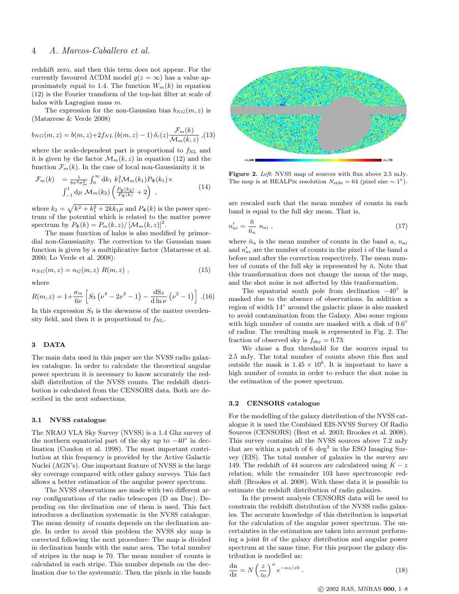# 4 A. Marcos-Caballero et al.

redshift zero, and then this term does not appear. For the currently favoured  $\Lambda$ CDM model  $g(z = \infty)$  has a value approximately equal to 1.4. The function  $W_m(k)$  in equation (12) is the Fourier transform of the top-hat filter at scale of halos with Lagragian mass m.

The expression for the non-Gaussian bias  $b_{NG}(m, z)$  is (Matarrese & Verde 2008)

$$
b_{NG}(m, z) = b(m, z) + 2f_{NL} (b(m, z) - 1) \delta_c(z) \frac{\mathcal{F}_m(k)}{\mathcal{M}_m(k, z)},
$$
(13)

where the scale-dependent part is proportional to  $f_{\rm NL}$  and it is given by the factor  $\mathcal{M}_m(k, z)$  in equation (12) and the function  $\mathcal{F}_m(k)$ . In the case of local non-Gaussianity it is

$$
\mathcal{F}_m(k) = \frac{1}{8\pi^2 \sigma_m^2} \int_0^\infty dk_1 \ k_1^2 \mathcal{M}_m(k_1) P_{\Phi}(k_1) \times
$$
  

$$
\int_{-1}^1 d\mu \ \mathcal{M}_m(k_2) \left( \frac{P_{\Phi}(k_2)}{P_{\Phi}(k)} + 2 \right) ,
$$
 (14)

where  $k_2 = \sqrt{k^2 + k_1^2 + 2kk_1\mu}$  and  $P_{\Phi}(k)$  is the power spectrum of the potential which is related to the matter power spectrum by  $P_{\Phi}(k) = P_m(k, z) / [\mathcal{M}_m(k, z)]^2$ .

The mass function of halos is also modified by primordial non-Gaussianity. The correction to the Gaussian mass function is given by a multiplicative factor (Matarrese et al. 2000; Lo Verde et al. 2008):

$$
n_{NG}(m, z) = n_G(m, z) R(m, z) , \qquad (15)
$$

where

$$
R(m, z) = 1 + \frac{\sigma_m}{6\nu} \left[ S_3 \left( \nu^4 - 2\nu^2 - 1 \right) - \frac{dS_3}{d \ln \nu} \left( \nu^2 - 1 \right) \right] . (16)
$$

In this expression  $S_3$  is the skewness of the matter overdensity field, and then it is proportional to  $f_{\rm NL}$ .

# 3 DATA

The main data used in this paper are the NVSS radio galaxies catalogue. In order to calculate the theoretical angular power spectrum it is necessary to know accurately the redshift distribution of the NVSS counts. The redshift distribution is calculated from the CENSORS data. Both are described in the next subsections.

# 3.1 NVSS catalogue

The NRAO VLA Sky Survey (NVSS) is a 1.4 Ghz survey of the northern equatorial part of the sky up to  $-40^\circ$  in declination (Condon et al. 1998). The most important contribution at this frequency is provided by the Active Galactic Nuclei (AGN's). One important feature of NVSS is the large sky coverage compared with other galaxy surveys. This fact allows a better estimation of the angular power spectrum.

The NVSS observations are made with two different array configurations of the radio telescopes (D an Dnc). Depending on the declination one of them is used. This fact introduces a declination systematic in the NVSS catalogue. The mean density of counts depends on the declination angle. In order to avoid this problem the NVSS sky map is corrected following the next procedure: The map is divided in declination bands with the same area. The total number of stripes in the map is 70. The mean number of counts is calculated in each stripe. This number depends on the declination due to the systematic. Then the pixels in the bands



Figure 2. Left: NVSS map of sources with flux above 2.5 mJy. The map is at HEALPix resolution  $N_{\text{side}} = 64$  (pixel size ~ 1°).

are rescaled such that the mean number of counts in each band is equal to the full sky mean. That is,

$$
n'_{ai} = \frac{\bar{n}}{\bar{n}_a} n_{ai} , \qquad (17)
$$

where  $\bar{n}_a$  is the mean number of counts in the band a,  $n_{ai}$ and  $n'_{ai}$  are the number of counts in the pixel i of the band a before and after the correction respectively. The mean number of counts of the full sky is represented by  $\bar{n}$ . Note that this transformation does not change the mean of the map, and the shot noise is not affected by this tranformation.

The equatorial south pole from declination  $-40^\circ$  is masked due to the absence of observations. In addition a region of width 14◦ around the galactic plane is also masked to avoid contamination from the Galaxy. Also some regions with high number of counts are masked with a disk of  $0.6^{\circ}$ of radius. The resulting mask is represented in Fig. 2. The fraction of observed sky is  $f_{\rm sky} = 0.73$ .

We chose a flux threshold for the sources equal to 2.5 mJy. The total number of counts above this flux and outside the mask is  $1.45 \times 10^6$ . It is important to have a high number of counts in order to reduce the shot noise in the estimation of the power spectrum.

## 3.2 CENSORS catalogue

For the modelling of the galaxy distribution of the NVSS catalogue it is used the Combined EIS-NVSS Survey Of Radio Sources (CENSORS) (Best et al. 2003; Brookes et al. 2008). This survey contains all the NVSS sources above 7.2 mJy that are within a patch of 6  $\deg^2$  in the ESO Imaging Survey (EIS). The total number of galaxies in the survey are 149. The redshift of 44 sources are calculateed using  $K - z$ relation, while the remainder 103 have spectroscopic redshift (Brookes et al. 2008). With these data it is possible to estimate the redshift distribution of radio galaxies.

In the present analysis CENSORS data will be used to constrain the redshift distribution of the NVSS radio galaxies. The accurate knowledge of this distribution is importat for the calculation of the angular power spectrum. The uncertainties in the estimation are taken into account performing a joint fit of the galaxy distribution and angular power spectrum at the same time. For this purpose the galaxy distribution is modelled as:

$$
\frac{\mathrm{dn}}{\mathrm{dz}} = N \left(\frac{z}{z_0}\right)^{\alpha} e^{-\alpha z/z_0} . \tag{18}
$$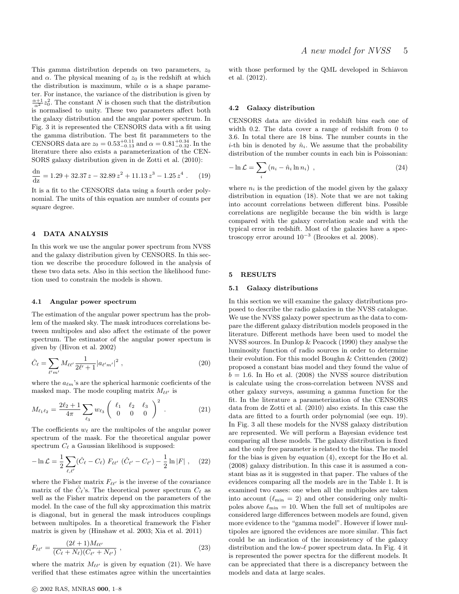This gamma distribution depends on two parameters,  $z_0$ and  $\alpha$ . The physical meaning of  $z_0$  is the redshift at which the distribution is maximum, while  $\alpha$  is a shape parameter. For instance, the variance of the distribution is given by  $\frac{\alpha+1}{\alpha^2}z_0^2$ . The constant N is chosen such that the distribution is normalised to unity. These two parameters affect both the galaxy distribution and the angular power spectrum. In Fig. 3 it is represented the CENSORS data with a fit using the gamma distribution. The best fit parammeters to the CENSORS data are  $z_0 = 0.53_{-0.13}^{+0.11}$  and  $\alpha = 0.81_{-0.32}^{+0.34}$ . In the literature there also exists a parameterization of the CEN-SORS galaxy distribution given in de Zotti et al. (2010):

$$
\frac{dn}{dz} = 1.29 + 32.37 z - 32.89 z^2 + 11.13 z^3 - 1.25 z^4 . \tag{19}
$$

It is a fit to the CENSORS data using a fourth order polynomial. The units of this equation are number of counts per square degree.

# 4 DATA ANALYSIS

In this work we use the angular power spectrum from NVSS and the galaxy distribution given by CENSORS. In this section we describe the procedure followed in the analysis of these two data sets. Also in this section the likelihood function used to constrain the models is shown.

## 4.1 Angular power spectrum

The estimation of the angular power spectrum has the problem of the masked sky. The mask introduces correlations between multipoles and also affect the estimate of the power spectrum. The estimator of the angular power spectum is given by (Hivon et al. 2002)

$$
\hat{C}_{\ell} = \sum_{\ell' m'} M_{\ell \ell'} \frac{1}{2\ell' + 1} |a_{\ell' m'}|^2 , \qquad (20)
$$

where the  $a_{\ell m}$ 's are the spherical harmonic coeficients of the masked map. The mode coupling matrix  $M_{\ell\ell'}$  is

$$
M_{\ell_1 \ell_2} = \frac{2\ell_2 + 1}{4\pi} \sum_{\ell_3} w_{\ell_3} \begin{pmatrix} \ell_1 & \ell_2 & \ell_3 \\ 0 & 0 & 0 \end{pmatrix}^2.
$$
 (21)

The coefficients  $w_{\ell}$  are the multipoles of the angular power spectrum of the mask. For the theoretical angular power spectrum  $C_{\ell}$  a Gaussian likelihood is supposed:

$$
-\ln \mathcal{L} = \frac{1}{2} \sum_{\ell,\ell'} (\hat{C}_{\ell} - C_{\ell}) F_{\ell\ell'} (\hat{C}_{\ell'} - C_{\ell'}) - \frac{1}{2} \ln |F| , \quad (22)
$$

where the Fisher matrix  $F_{\ell\ell'}$  is the inverse of the covariance matrix of the  $\hat{C}_{\ell}$ 's. The theoretical power spectrum  $C_{\ell}$  as well as the Fisher matrix depend on the parameters of the model. In the case of the full sky approximation this matrix is diagonal, but in general the mask introduces couplings between multipoles. In a theoretical framework the Fisher matrix is given by (Hinshaw et al. 2003; Xia et al. 2011)

$$
F_{\ell\ell'} = \frac{(2\ell+1)M_{\ell\ell'}}{(C_{\ell}+N_{\ell})(C_{\ell'}+N_{\ell'})},
$$
\n(23)

where the matrix  $M_{\ell\ell'}$  is given by equation (21). We have verified that these estimates agree within the uncertainties with those performed by the QML developed in Schiavon et al. (2012).

## 4.2 Galaxy distribution

CENSORS data are divided in redshift bins each one of width 0.2. The data cover a range of redshift from 0 to 3.6. In total there are 18 bins. The number counts in the *i*-th bin is denoted by  $\hat{n}_i$ . We assume that the probability distribution of the number counts in each bin is Poissonian:

$$
-\ln \mathcal{L} = \sum_{i} \left( n_i - \hat{n}_i \ln n_i \right) , \qquad (24)
$$

where  $n_i$  is the prediction of the model given by the galaxy distribution in equation (18). Note that we are not taking into account correlations between different bins. Possible correlations are negligible because the bin width is large compared with the galaxy correlation scale and with the typical error in redshift. Most of the galaxies have a spectroscopy error around  $10^{-3}$  (Brookes et al. 2008).

#### 5 RESULTS

## 5.1 Galaxy distributions

In this section we will examine the galaxy distributions proposed to describe the radio galaxies in the NVSS catalogue. We use the NVSS galaxy power spectrum as the data to compare the different galaxy distribution models proposed in the literature. Different methods have been used to model the NVSS sources. In Dunlop & Peacock (1990) they analyse the luminosity function of radio sources in order to determine their evolution. For this model Boughn & Crittenden (2002) proposed a constant bias model and they found the value of  $b = 1.6$ . In Ho et al. (2008) the NVSS source distribution is calculate using the cross-correlation between NVSS and other galaxy surveys, assuming a gamma function for the fit. In the literature a parameterization of the CENSORS data from de Zotti et al. (2010) also exists. In this case the data are fitted to a fourth order polynomial (see eqn. 19). In Fig. 3 all these models for the NVSS galaxy distribution are represented. We will perform a Bayesian evidence test comparing all these models. The galaxy distribution is fixed and the only free parameter is related to the bias. The model for the bias is given by equation (4), except for the Ho et al. (2008) galaxy distribution. In this case it is assumed a constant bias as it is suggested in that paper. The values of the evidences comparing all the models are in the Table 1. It is examined two cases: one when all the multipoles are taken into account  $(\ell_{\min} = 2)$  and other considering only multipoles above  $\ell_{\min} = 10$ . When the full set of multipoles are considered large differences between models are found, given more evidence to the "gamma model". However if lower multipoles are ignored the evidences are more similar. This fact could be an indication of the inconsistency of the galaxy distribution and the low- $\ell$  power spectrum data. In Fig. 4 it is represented the power spectra for the different models. It can be appreciated that there is a discrepancy between the models and data at large scales.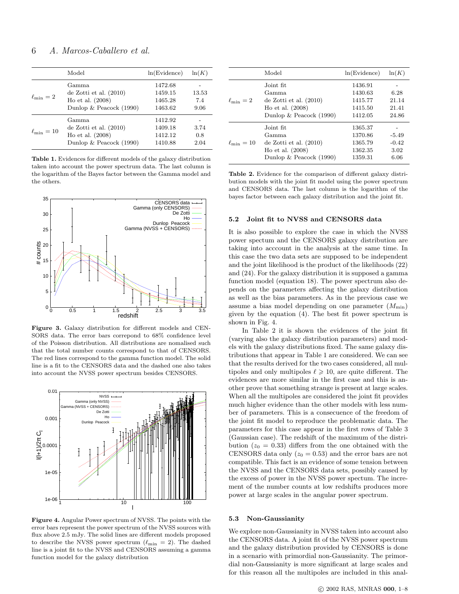# 6 A. Marcos-Caballero et al.

|                       | Model                                                                                       | ln(Evidence)                             | ln(K)                |
|-----------------------|---------------------------------------------------------------------------------------------|------------------------------------------|----------------------|
| $\ell_{\min} = 2$     | Gamma<br>de Zotti et al. $(2010)$<br>Ho et al. $(2008)$<br>Dunlop $& Peacock (1990)$        | 1472.68<br>1459.15<br>1465.28<br>1463.62 | 13.53<br>7.4<br>9.06 |
| $\ell_{\rm min} = 10$ | Gamma<br>de Zotti et al. $(2010)$<br>Ho et al. $(2008)$<br>Dunlop $& \text{Peacock}$ (1990) | 1412.92<br>1409.18<br>1412.12<br>1410.88 | 3.74<br>0.8<br>2.04  |

Table 1. Evidences for different models of the galaxy distribution taken into account the power spectrum data. The last column is the logarithm of the Bayes factor between the Gamma model and the others.



Figure 3. Galaxy distribution for different models and CEN-SORS data. The error bars correpond to 68% confidence level of the Poisson distribution. All distributions are nomalised such that the total number counts correspond to that of CENSORS. The red lines correspond to the gamma function model. The solid line is a fit to the CENSORS data and the dashed one also takes into account the NVSS power spectrum besides CENSORS.



Figure 4. Angular Power spectrum of NVSS. The points with the error bars represent the power spectrum of the NVSS sources with flux above 2.5 mJy. The solid lines are different models proposed to describe the NVSS power spectrum ( $\ell_{\min} = 2$ ). The dashed line is a joint fit to the NVSS and CENSORS assuming a gamma function model for the galaxy distribution

|                     | Model                            | ln(Evidence) | ln(K)   |
|---------------------|----------------------------------|--------------|---------|
|                     | Joint fit.                       | 1436.91      |         |
|                     | Gamma                            | 1430.63      | 6.28    |
| $\ell_{\min} = 2$   | de Zotti et al. $(2010)$         | 1415.77      | 21.14   |
|                     | Ho et al. $(2008)$               | 1415.50      | 21.41   |
|                     | Dunlop $& \text{Peacock} (1990)$ | 1412.05      | 24.86   |
|                     | Joint fit.                       | 1365.37      |         |
|                     | Gamma                            | 1370.86      | $-5.49$ |
| $\ell_{\rm min}=10$ | de Zotti et al. $(2010)$         | 1365.79      | $-0.42$ |
|                     | Ho et al. $(2008)$               | 1362.35      | 3.02    |
|                     | Dunlop $& \text{Peacock}$ (1990) | 1359.31      | 6.06    |

Table 2. Evidence for the comparison of different galaxy distribution models with the joint fit model using the power spectrum and CENSORS data. The last column is the logarithm of the bayes factor between each galaxy distribution and the joint fit.

# 5.2 Joint fit to NVSS and CENSORS data

It is also possible to explore the case in which the NVSS power spectum and the CENSORS galaxy distribution are taking into acccount in the analysis at the same time. In this case the two data sets are supposed to be independent and the joint likelihood is the product of the likelihoods (22) and (24). For the galaxy distribution it is supposed a gamma function model (equation 18). The power spectrum also depends on the parameters affecting the galaxy distribution as well as the bias parameters. As in the previous case we assume a bias model depending on one parameter  $(M_{\text{min}})$ given by the equation (4). The best fit power spectrum is shown in Fig. 4.

In Table 2 it is shown the evidences of the joint fit (varying also the galaxy distribution parameters) and models with the galaxy distributions fixed. The same galaxy distributions that appear in Table 1 are considered. We can see that the results derived for the two cases considered, all multipoles and only multipoles  $\ell \geq 10$ , are quite different. The evidences are more similar in the first case and this is another prove that something strange is present at large scales. When all the multipoles are considered the joint fit provides much higher evidence than the other models with less number of parameters. This is a consecuence of the freedom of the joint fit model to reproduce the problematic data. The parameters for this case appear in the first rows of Table 3 (Gaussian case). The redshift of the maximum of the distribution ( $z_0 = 0.33$ ) differs from the one obtained with the CENSORS data only  $(z_0 = 0.53)$  and the error bars are not compatible. This fact is an evidence of some tension between the NVSS and the CENSORS data sets, possibly caused by the excess of power in the NVSS power spectum. The increment of the number counts at low redshifts produces more power at large scales in the angular power spectrum.

## 5.3 Non-Gaussianity

We explore non-Gaussianity in NVSS taken into account also the CENSORS data. A joint fit of the NVSS power spectrum and the galaxy distribution provided by CENSORS is done in a scenario with primordial non-Gaussianity. The primordial non-Gaussianity is more significant at large scales and for this reason all the multipoles are included in this anal-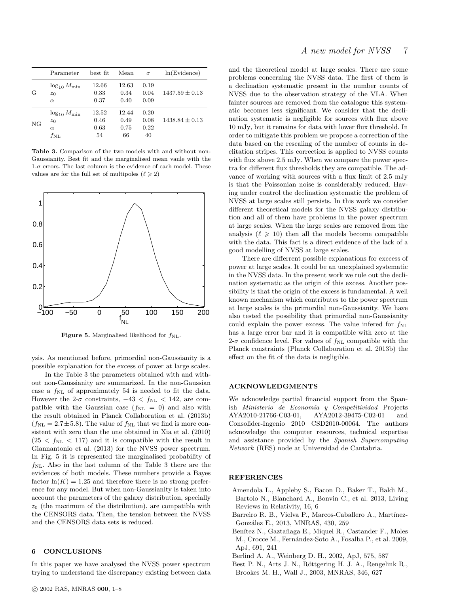|    | Parameter                                                       | best fit                    | Mean                        | $\sigma$                   | ln(Evidence)       |
|----|-----------------------------------------------------------------|-----------------------------|-----------------------------|----------------------------|--------------------|
| G  | $\log_{10} M_{\text{min}}$<br>$z_0$<br>$\alpha$                 | 12.66<br>0.33<br>0.37       | 12.63<br>0.34<br>0.40       | 0.19<br>0.04<br>0.09       | $1437.59 + 0.13$   |
| NG | $\log_{10} M_{\text{min}}$<br>$z_0$<br>$\alpha$<br>$f_{\rm NL}$ | 12.52<br>0.46<br>0.63<br>54 | 12.44<br>0.49<br>0.75<br>66 | 0.20<br>0.08<br>0.22<br>40 | $1438.84 \pm 0.13$ |

Table 3. Comparison of the two models with and without non-Gaussianity. Best fit and the marginalised mean vaule with the  $1\text{-}\sigma$  errors. The last column is the evidence of each model. These values are for the full set of multipoles ( $\ell \geq 2$ )



Figure 5. Marginalised likelihood for  $f_{\rm NL}$ .

ysis. As mentioned before, primordial non-Gaussianity is a possible explanation for the excess of power at large scales.

In the Table 3 the parameters obtained with and without non-Gaussianity are summarized. In the non-Gaussian case a  $f_{\rm NL}$  of approximately 54 is needed to fit the data. However the 2- $\sigma$  constraints,  $-43 < f_{\text{NL}} < 142$ , are compatlble with the Gaussian case  $(f_{NL} = 0)$  and also with the result obtained in Planck Collaboration et al. (2013b)  $(f_{\rm NL} = 2.7 \pm 5.8)$ . The value of  $f_{\rm NL}$  that we find is more consistent with zero than the one obtained in Xia et al. (2010)  $(25 < f_{NL} < 117)$  and it is compatible with the result in Giannantonio et al. (2013) for the NVSS power spectrum. In Fig. 5 it is represented the marginalised probability of  $f_{\text{NL}}$ . Also in the last column of the Table 3 there are the evidences of both models. These numbers provide a Bayes factor  $ln(K) = 1.25$  and therefore there is no strong preference for any model. But when non-Gaussianity is taken into account the parameters of the galaxy distribution, specially  $z_0$  (the maximum of the distribution), are compatible with the CENSORS data. Then, the tension between the NVSS and the CENSORS data sets is reduced.

## 6 CONCLUSIONS

In this paper we have analysed the NVSS power spectrum trying to understand the discrepancy existing between data

and the theoretical model at large scales. There are some problems concerning the NVSS data. The first of them is a declination systematic present in the number counts of NVSS due to the observation strategy of the VLA. When fainter sources are removed from the catalogue this systematic becomes less significant. We consider that the declination systematic is negligible for sources with flux above 10 mJy, but it remains for data with lower flux threshold. In order to mitigate this problem we propose a correction of the data based on the rescaling of the number of counts in declitation stripes. This correction is applied to NVSS counts with flux above 2.5 mJy. When we compare the power spectra for different flux thresholds they are compatible. The advance of working with sources with a flux limit of 2.5 mJy is that the Poissonian noise is considerably reduced. Having under control the declination systematic the problem of NVSS at large scales still persists. In this work we consider different theoretical models for the NVSS galaxy distribution and all of them have problems in the power spectrum at large scales. When the large scales are removed from the analysis  $(\ell \geq 10)$  then all the models become compatible with the data. This fact is a direct evidence of the lack of a good modelling of NVSS at large scales.

There are differrent possible explanations for exccess of power at large scales. It could be an unexplained systematic in the NVSS data. In the present work we rule out the declination systematic as the origin of this excess. Another possibility is that the origin of the excess is fundamental. A well known mechanism which contributes to the power spectrum at large scales is the primordial non-Gaussianity. We have also tested the possibility that primordial non-Gaussianity could explain the power excess. The value inferred for  $f_{\rm NL}$ has a large error bar and it is compatible with zero at the 2- $\sigma$  confidence level. For values of  $f_{\rm NL}$  compatible with the Planck constraints (Planck Collaboration et al. 2013b) the effect on the fit of the data is negligible.

## ACKNOWLEDGMENTS

We acknowledge partial financial support from the Spanish Ministerio de Economía y Competitividad Projects AYA2010-21766-C03-01, AYA2012-39475-C02-01 and Consolider-Ingenio 2010 CSD2010-00064. The authors acknowledge the computer resources, technical expertise and assistance provided by the Spanish Supercomputing Network (RES) node at Universidad de Cantabria.

# REFERENCES

- Amendola L., Appleby S., Bacon D., Baker T., Baldi M., Bartolo N., Blanchard A., Bonvin C., et al. 2013, Living Reviews in Relativity, 16, 6
- Barreiro R. B., Vielva P., Marcos-Caballero A., Martínez-González E., 2013, MNRAS, 430, 259
- Benítez N., Gaztañaga E., Miquel R., Castander F., Moles M., Crocce M., Fernández-Soto A., Fosalba P., et al. 2009, ApJ, 691, 241
- Berlind A. A., Weinberg D. H., 2002, ApJ, 575, 587
- Best P. N., Arts J. N., Röttgering H. J. A., Rengelink R., Brookes M. H., Wall J., 2003, MNRAS, 346, 627